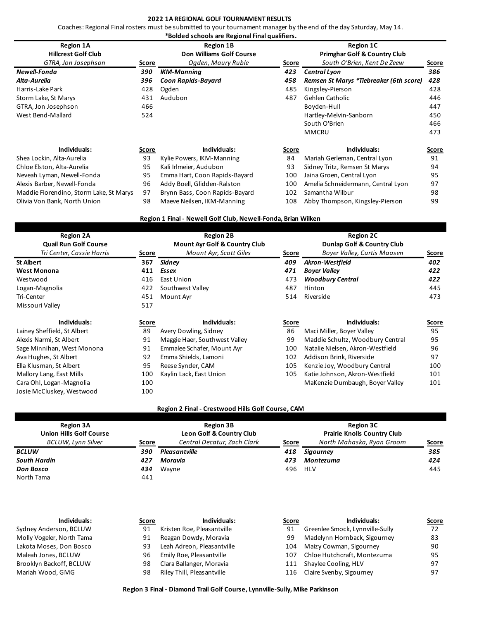### **2022 1A REGIONAL GOLF TOURNAMENT RESULTS**

Coaches: Regional Final rosters must be submitted to your tournament manager by the end of the day Saturday, May 14.

|                                                                       |              | *Bolded schools are Regional Final qualifiers.                            |       |                                                                                            |              |
|-----------------------------------------------------------------------|--------------|---------------------------------------------------------------------------|-------|--------------------------------------------------------------------------------------------|--------------|
| <b>Region 1A</b><br><b>Hillcrest Golf Club</b><br>GTRA, Jon Josephson | Score        | <b>Region 1B</b><br><b>Don Williams Golf Course</b><br>Ogden, Maury Ruble | Score | <b>Region 1C</b><br><b>Primghar Golf &amp; Country Club</b><br>South O'Brien, Kent De Zeew | Score        |
| Newell-Fonda                                                          | 390          | <b>IKM-Manning</b>                                                        | 423   | Central Lyon                                                                               | 386          |
| Alta-Aurelia                                                          | 396          | Coon Rapids-Bayard                                                        | 458   | Remsen St Marys *Tiebreaker (6th score)                                                    | 428          |
| Harris-Lake Park                                                      | 428          | Ogden                                                                     | 485   | Kingsley-Pierson                                                                           | 428          |
| Storm Lake, St Marys                                                  | 431          | Audubon                                                                   | 487   | Gehlen Catholic                                                                            | 446          |
| GTRA, Jon Josephson                                                   | 466          |                                                                           |       | Boyden-Hull                                                                                | 447          |
| West Bend-Mallard                                                     | 524          |                                                                           |       | Hartley-Melvin-Sanborn                                                                     | 450          |
|                                                                       |              |                                                                           |       | South O'Brien                                                                              | 466          |
|                                                                       |              |                                                                           |       | <b>MMCRU</b>                                                                               | 473          |
| Individuals:                                                          | <b>Score</b> | Individuals:                                                              | Score | Individuals:                                                                               | <b>Score</b> |
| Shea Lockin, Alta-Aurelia                                             | 93           | Kylie Powers, IKM-Manning                                                 | 84    | Mariah Gerleman, Central Lyon                                                              | 91           |
| Chloe Elston, Alta-Aurelia                                            | 95           | Kali Irlmeier, Audubon                                                    | 93    | Sidney Tritz, Remsen St Marys                                                              | 94           |
| Neveah Lyman, Newell-Fonda                                            | 95           | Emma Hart, Coon Rapids-Bayard                                             | 100   | Jaina Groen, Central Lyon                                                                  | 95           |
| Alexis Barber, Newell-Fonda                                           | 96           | Addy Boell, Glidden-Ralston                                               | 100   | Amelia Schneidermann, Central Lyon                                                         | 97           |
| Maddie Fiorendino, Storm Lake, St Marys                               | 97           | Brynn Bass, Coon Rapids-Bayard                                            | 102   | Samantha Wilbur                                                                            | 98           |
| Olivia Von Bank, North Union                                          | 98           | Maeve Neilsen, IKM-Manning                                                | 108   | Abby Thompson, Kingsley-Pierson                                                            | 99           |

## **Region 1 Final - Newell Golf Club, Newell-Fonda, Brian Wilken**

| <b>Region 2A</b>             |       | <b>Region 2B</b>                         |       | <b>Region 2C</b>                 |              |
|------------------------------|-------|------------------------------------------|-------|----------------------------------|--------------|
| <b>Quail Run Golf Course</b> |       | <b>Mount Ayr Golf &amp; Country Club</b> |       | Dunlap Golf & Country Club       |              |
| Tri Center, Cassie Harris    | Score | Mount Ayr, Scott Giles                   | Score | Boyer Valley, Curtis Maasen      | Score        |
| St Albert                    | 367   | Sidney                                   | 409   | <b>Akron-Westfield</b>           | 402          |
| <b>West Monona</b>           | 411   | Essex                                    | 471   | <b>Boyer Valley</b>              | 422          |
| Westwood                     | 416   | East Union                               | 473   | <b>Woodbury Central</b>          | 422          |
| Logan-Magnolia               | 422   | Southwest Valley                         | 487   | Hinton                           | 445          |
| Tri-Center                   | 451   | Mount Ayr                                | 514   | Riverside                        | 473          |
| Missouri Valley              | 517   |                                          |       |                                  |              |
| Individuals:                 | Score | Individuals:                             | Score | Individuals:                     | <b>Score</b> |
| Lainey Sheffield, St Albert  | 89    | Avery Dowling, Sidney                    | 86    | Maci Miller, Boyer Valley        | 95           |
| Alexis Narmi, St Albert      | 91    | Maggie Haer, Southwest Valley            | 99    | Maddie Schultz, Woodbury Central | 95           |
| Sage Minnihan, West Monona   | 91    | Emmalee Schafer, Mount Ayr               | 100   | Natalie Nielsen, Akron-Westfield | 96           |
| Ava Hughes, St Albert        | 92    | Emma Shields, Lamoni                     | 102   | Addison Brink, Riverside         | 97           |
| Ella Klusman, St Albert      | 95    | Reese Synder, CAM                        | 105   | Kenzie Joy, Woodbury Central     | 100          |
| Mallory Lang, East Mills     | 100   | Kaylin Lack, East Union                  | 105   | Katie Johnson, Akron-Westfield   | 101          |
| Cara Ohl, Logan-Magnolia     | 100   |                                          |       | MaKenzie Dumbaugh, Boyer Valley  | 101          |
| Josie McCluskey, Westwood    | 100   |                                          |       |                                  |              |

## **Region 2 Final - Crestwood Hills Golf Course, CAM**

| <b>Region 3A</b>               |       | <b>Region 3B</b>            |              | <b>Region 3C</b>                   |              |
|--------------------------------|-------|-----------------------------|--------------|------------------------------------|--------------|
| <b>Union Hills Golf Course</b> |       | Leon Golf & Country Club    |              | <b>Prairie Knolls Country Club</b> |              |
| BCLUW, Lynn Silver             | Score | Central Decatur, Zach Clark | <u>Score</u> | North Mahaska, Ryan Groom          | <b>Score</b> |
| <b>BCLUW</b>                   | 390   | Pleasantville               | 418          | <b>Sigourney</b>                   | 385          |
| <b>South Hardin</b>            | 427   | Moravia                     | 473          | Montezuma                          | 424          |
| <b>Don Bosco</b>               | 434   | Wayne                       | 496          | <b>HLV</b>                         | 445          |
| North Tama                     | 441   |                             |              |                                    |              |

| Score | Individuals:               | Score | Individuals:                    | <b>Score</b>                                                                    |
|-------|----------------------------|-------|---------------------------------|---------------------------------------------------------------------------------|
| 91    | Kristen Roe, Pleasantville | 91    | Greenlee Smock, Lynnville-Sully | 72                                                                              |
| 91    | Reagan Dowdy, Moravia      | 99    | Madelynn Hornback, Sigourney    | 83                                                                              |
| 93    | Leah Adreon, Pleasantville | 104   |                                 | 90                                                                              |
| 96    | Emily Roe, Pleasantville   | 107   | Chloe Hutchcraft, Montezuma     | 95                                                                              |
| 98    | Clara Ballanger, Moravia   | 111   |                                 | 97                                                                              |
| 98    | Riley Thill, Pleasantville |       |                                 | 97                                                                              |
|       |                            |       |                                 | Maizy Cowman, Sigourney<br>Shaylee Cooling, HLV<br>116 Claire Svenby, Sigourney |

**Region 3 Final - Diamond Trail Golf Course, Lynnville-Sully, Mike Parkinson**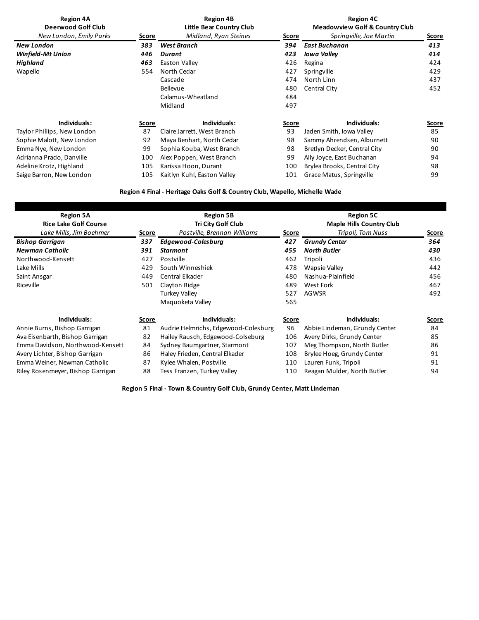| <b>Region 4A</b><br><b>Deerwood Golf Club</b> |              | <b>Region 4B</b><br>Little Bear Country Club |              | <b>Region 4C</b><br><b>Meadowview Golf &amp; Country Club</b> |              |
|-----------------------------------------------|--------------|----------------------------------------------|--------------|---------------------------------------------------------------|--------------|
| New London, Emily Parks                       | Score        | Midland, Ryan Steines                        | Score        | Springville, Joe Martin                                       | <b>Score</b> |
| <b>New London</b>                             | 383          | West Branch                                  | 394          | East Buchanan                                                 | 413          |
| <b>Winfield-Mt Union</b>                      | 446          | Durant                                       | 423          | lowa Valley                                                   | 414          |
| <b>Highland</b>                               | 463          | Easton Valley                                | 426          | Regina                                                        | 424          |
| Wapello                                       | 554          | North Cedar                                  | 427          | Springville                                                   | 429          |
|                                               |              | Cascade                                      | 474          | North Linn                                                    | 437          |
|                                               |              | <b>Bellevue</b>                              | 480          | Central City                                                  | 452          |
|                                               |              | Calamus-Wheatland                            | 484          |                                                               |              |
|                                               |              | Midland                                      | 497          |                                                               |              |
| Individuals:                                  | <u>Score</u> | Individuals:                                 | <b>Score</b> | Individuals:                                                  | <u>Score</u> |
| Taylor Phillips, New London                   | 87           | Claire Jarrett, West Branch                  | 93           | Jaden Smith, Iowa Valley                                      | 85           |
| Sophie Malott, New London                     | 92           | Maya Benhart, North Cedar                    | 98           | Sammy Ahrendsen, Alburnett                                    | 90           |
| Emma Nye, New London                          | 99           | Sophia Kouba, West Branch                    | 98           | Bretlyn Decker, Central City                                  | 90           |
| Adrianna Prado, Danville                      | 100          | Alex Poppen, West Branch                     | 99           | Ally Joyce, East Buchanan                                     | 94           |
| Adeline Krotz, Highland                       | 105          | Karissa Hoon, Durant                         | 100          | Brylea Brooks, Central City                                   | 98           |
| Saige Barron, New London                      | 105          | Kaitlyn Kuhl, Easton Valley                  | 101          | Grace Matus, Springville                                      | 99           |

## **Region 4 Final - Heritage Oaks Golf & Country Club, Wapello, Michelle Wade**

| <b>Region 5A</b>                  |              | <b>Region 5B</b>                     |              | <b>Region 5C</b>              |              |
|-----------------------------------|--------------|--------------------------------------|--------------|-------------------------------|--------------|
| <b>Rice Lake Golf Course</b>      |              | <b>Tri City Golf Club</b>            |              |                               |              |
| Lake Mills, Jim Boehmer           | Score        | Postville, Brennan Williams          | <u>Score</u> | Tripoli, Tom Nuss             | <b>Score</b> |
| <b>Bishop Garrigan</b>            | 337          | Edgewood-Colesburg                   | 427          | <b>Grundy Center</b>          | 364          |
| <b>Newman Catholic</b>            | 391          | Starmont                             | 455          | <b>North Butler</b>           | 430          |
| Northwood-Kensett                 | 427          | Postville                            | 462          | Tripoli                       | 436          |
| Lake Mills                        | 429          | South Winneshiek                     | 478          | <b>Wapsie Valley</b>          | 442          |
| Saint Ansgar                      | 449          | Central Elkader                      | 480          | Nashua-Plainfield             | 456          |
| Riceville                         | 501          | Clayton Ridge                        | 489          | West Fork                     | 467          |
|                                   |              | <b>Turkey Valley</b>                 | 527          | <b>AGWSR</b>                  | 492          |
|                                   |              | Maguoketa Valley                     | 565          |                               |              |
| Individuals:                      | <b>Score</b> | Individuals:                         | <b>Score</b> | Individuals:                  | <b>Score</b> |
| Annie Burns, Bishop Garrigan      | 81           | Audrie Helmrichs, Edgewood-Colesburg | 96           | Abbie Lindeman, Grundy Center | 84           |
| Ava Eisenbarth, Bishop Garrigan   | 82           | Hailey Rausch, Edgewood-Colseburg    | 106          | Avery Dirks, Grundy Center    | 85           |
| Emma Davidson, Northwood-Kensett  | 84           | Sydney Baumgartner, Starmont         | 107          | Meg Thompson, North Butler    | 86           |
| Avery Lichter, Bishop Garrigan    | 86           | Haley Frieden, Central Elkader       | 108          | Brylee Hoeg, Grundy Center    | 91           |
| Emma Weiner, Newman Catholic      | 87           | Kylee Whalen, Postville              | 110          | Lauren Funk, Tripoli          | 91           |
| Riley Rosenmeyer, Bishop Garrigan | 88           | Tess Franzen, Turkey Valley          | 110          | Reagan Mulder, North Butler   | 94           |
|                                   |              |                                      |              |                               |              |

**Region 5 Final - Town & Country Golf Club, Grundy Center, Matt Lindeman**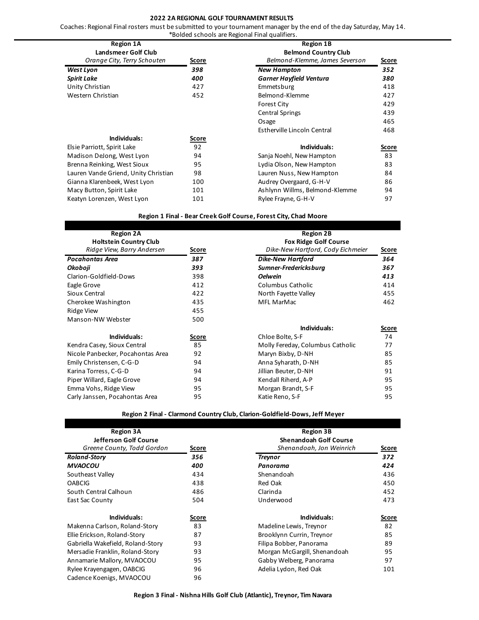### **2022 2A REGIONAL GOLF TOURNAMENT RESULTS**

Coaches: Regional Final rosters must be submitted to your tournament manager by the end of the day Saturday, May 14. \*Bolded schools are Regional Final qualifiers.

| <b>Region 1A</b>                     |              | <b>Region 1B</b>               |       |
|--------------------------------------|--------------|--------------------------------|-------|
| Landsmeer Golf Club                  |              | <b>Belmond Country Club</b>    |       |
| Orange City, Terry Schouten          | Score        | Belmond-Klemme, James Severson | Score |
| West Lyon                            | 398          | <b>New Hampton</b>             | 352   |
| <b>Spirit Lake</b>                   | 400          | <b>Garner Hayfield Ventura</b> | 380   |
| Unity Christian                      | 427          | Emmetsburg                     | 418   |
| Western Christian                    | 452          | Belmond-Klemme                 | 427   |
|                                      |              | <b>Forest City</b>             | 429   |
|                                      |              | <b>Central Springs</b>         | 439   |
|                                      |              | Osage                          | 465   |
|                                      |              | Estherville Lincoln Central    | 468   |
| Individuals:                         | <u>Score</u> |                                |       |
| Elsie Parriott, Spirit Lake          | 92           | Individuals:                   | Score |
| Madison DeJong, West Lyon            | 94           | Sanja Noehl, New Hampton       | 83    |
| Brenna Reinking, West Sioux          | 95           | Lydia Olson, New Hampton       | 83    |
| Lauren Vande Griend, Unity Christian | 98           | Lauren Nuss, New Hampton       | 84    |
| Gianna Klarenbeek, West Lyon         | 100          | Audrey Overgaard, G-H-V        | 86    |
| Macy Button, Spirit Lake             | 101          | Ashlynn Willms, Belmond-Klemme | 94    |
| Keatyn Lorenzen, West Lyon           | 101          | Rylee Frayne, G-H-V            | 97    |

**Region 1 Final - Bear Creek Golf Course, Forest City, Chad Moore**

| <b>Region 2A</b>                  |              | <b>Region 2B</b>                  |              |  |  |
|-----------------------------------|--------------|-----------------------------------|--------------|--|--|
| <b>Holtstein Country Club</b>     |              | <b>Fox Ridge Golf Course</b>      |              |  |  |
| Ridge View, Barry Andersen        | <u>Score</u> | Dike-New Hartford, Cody Eichmeier | <b>Score</b> |  |  |
| <b>Pocahontas Area</b>            | 387          | <b>Dike-New Hartford</b>          | 364          |  |  |
| Okoboji                           | 393          | Sumner-Fredericksburg             | 367          |  |  |
| Clarion-Goldfield-Dows            | 398          | <b>Oelwein</b>                    | 413          |  |  |
| Eagle Grove                       | 412          | Columbus Catholic                 | 414          |  |  |
| Sioux Central                     | 422          | North Fayette Valley              | 455          |  |  |
| Cherokee Washington               | 435          | MFL MarMac                        | 462          |  |  |
| <b>Ridge View</b>                 | 455          |                                   |              |  |  |
| Manson-NW Webster                 | 500          |                                   |              |  |  |
|                                   |              | Individuals:                      | Score        |  |  |
| Individuals:                      | <u>Score</u> | Chloe Bolte, S-F                  | 74           |  |  |
| Kendra Casey, Sioux Central       | 85           | Molly Fereday, Columbus Catholic  | 77           |  |  |
| Nicole Panbecker, Pocahontas Area | 92           | Maryn Bixby, D-NH                 | 85           |  |  |
| Emily Christensen, C-G-D          | 94           | Anna Syharath, D-NH               | 85           |  |  |
| Karina Torress, C-G-D             | 94           | Jillian Beuter, D-NH              | 91           |  |  |
| Piper Willard, Eagle Grove        | 94           | Kendall Riherd, A-P               | 95           |  |  |
| Emma Vohs, Ridge View             | 95           | Morgan Brandt, S-F                | 95           |  |  |
| Carly Janssen, Pocahontas Area    | 95           | Katie Reno, S-F                   | 95           |  |  |

**Region 2 Final - Clarmond Country Club, Clarion-Goldfield-Dows, Jeff Meyer**

| Score | <b>Shenandoah Golf Course</b><br>Shenandoah, Jon Weinrich | Score            |
|-------|-----------------------------------------------------------|------------------|
| 356   | <b>Treynor</b>                                            | 372              |
| 400   | Panorama                                                  | 424              |
| 434   | Shenandoah                                                | 436              |
| 438   | Red Oak                                                   | 450              |
| 486   | Clarinda                                                  | 452              |
| 504   | Underwood                                                 | 473              |
| Score | Individuals:                                              | Score            |
| 83    | Madeline Lewis, Treynor                                   | 82               |
| 87    | Brooklynn Currin, Treynor                                 | 85               |
| 93    | Filipa Bobber, Panorama                                   | 89               |
| 93    | Morgan McGargill, Shenandoah                              | 95               |
| 95    | Gabby Welberg, Panorama                                   | 97               |
| 96    | Adelia Lydon, Red Oak                                     | 101              |
| 96    |                                                           |                  |
|       |                                                           | <b>Region 3B</b> |